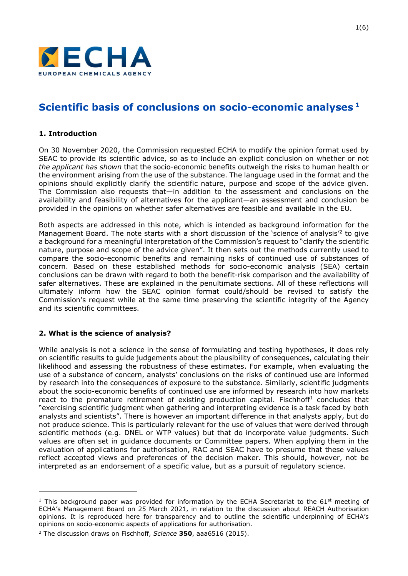

# Scientific basis of conclusions on socio-economic analyses<sup>1</sup>

## 1. Introduction

On 30 November 2020, the Commission requested ECHA to modify the opinion format used by SEAC to provide its scientific advice, so as to include an explicit conclusion on whether or not the applicant has shown that the socio-economic benefits outweigh the risks to human health or the environment arising from the use of the substance. The language used in the format and the opinions should explicitly clarify the scientific nature, purpose and scope of the advice given. The Commission also requests that—in addition to the assessment and conclusions on the availability and feasibility of alternatives for the applicant—an assessment and conclusion be provided in the opinions on whether safer alternatives are feasible and available in the EU.

Both aspects are addressed in this note, which is intended as background information for the Management Board. The note starts with a short discussion of the 'science of analysis<sup> $2$ </sup> to give a background for a meaningful interpretation of the Commission's request to "clarify the scientific nature, purpose and scope of the advice given". It then sets out the methods currently used to compare the socio-economic benefits and remaining risks of continued use of substances of concern. Based on these established methods for socio-economic analysis (SEA) certain conclusions can be drawn with regard to both the benefit-risk comparison and the availability of safer alternatives. These are explained in the penultimate sections. All of these reflections will ultimately inform how the SEAC opinion format could/should be revised to satisfy the Commission's request while at the same time preserving the scientific integrity of the Agency and its scientific committees.

#### 2. What is the science of analysis?

While analysis is not a science in the sense of formulating and testing hypotheses, it does rely on scientific results to guide judgements about the plausibility of consequences, calculating their likelihood and assessing the robustness of these estimates. For example, when evaluating the use of a substance of concern, analysts' conclusions on the risks of continued use are informed by research into the consequences of exposure to the substance. Similarly, scientific judgments about the socio-economic benefits of continued use are informed by research into how markets react to the premature retirement of existing production capital. Fischhoff<sup>1</sup> concludes that "exercising scientific judgment when gathering and interpreting evidence is a task faced by both analysts and scientists". There is however an important difference in that analysts apply, but do not produce science. This is particularly relevant for the use of values that were derived through scientific methods (e.g. DNEL or WTP values) but that do incorporate value judgments. Such values are often set in guidance documents or Committee papers. When applying them in the evaluation of applications for authorisation, RAC and SEAC have to presume that these values reflect accepted views and preferences of the decision maker. This should, however, not be interpreted as an endorsement of a specific value, but as a pursuit of regulatory science.

<sup>&</sup>lt;sup>1</sup> This background paper was provided for information by the ECHA Secretariat to the  $61<sup>st</sup>$  meeting of ECHA's Management Board on 25 March 2021, in relation to the discussion about REACH Authorisation opinions. It is reproduced here for transparency and to outline the scientific underpinning of ECHA's opinions on socio-economic aspects of applications for authorisation.

<sup>&</sup>lt;sup>2</sup> The discussion draws on Fischhoff, Science  $350$ , aaa6516 (2015).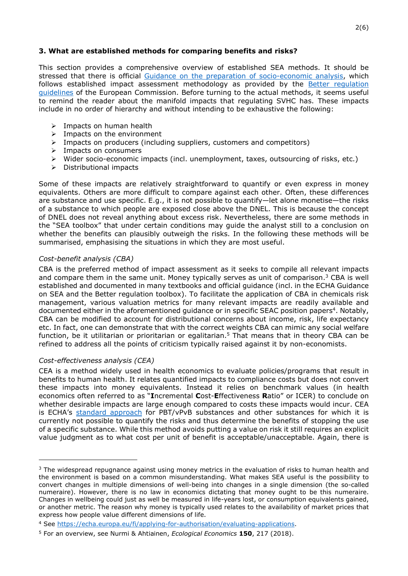## 3. What are established methods for comparing benefits and risks?

This section provides a comprehensive overview of established SEA methods. It should be stressed that there is official Guidance on the preparation of socio-economic analysis, which follows established impact assessment methodology as provided by the **Better regulation** guidelines of the European Commission. Before turning to the actual methods, it seems useful to remind the reader about the manifold impacts that regulating SVHC has. These impacts include in no order of hierarchy and without intending to be exhaustive the following:

- $\triangleright$  Impacts on human health
- $\triangleright$  Impacts on the environment
- $\triangleright$  Impacts on producers (including suppliers, customers and competitors)
- $\triangleright$  Impacts on consumers
- $\triangleright$  Wider socio-economic impacts (incl. unemployment, taxes, outsourcing of risks, etc.)
- $\triangleright$  Distributional impacts

Some of these impacts are relatively straightforward to quantify or even express in money equivalents. Others are more difficult to compare against each other. Often, these differences are substance and use specific. E.g., it is not possible to quantify—let alone monetise—the risks of a substance to which people are exposed close above the DNEL. This is because the concept of DNEL does not reveal anything about excess risk. Nevertheless, there are some methods in the "SEA toolbox" that under certain conditions may guide the analyst still to a conclusion on whether the benefits can plausibly outweigh the risks. In the following these methods will be summarised, emphasising the situations in which they are most useful.

## Cost-benefit analysis (CBA)

CBA is the preferred method of impact assessment as it seeks to compile all relevant impacts and compare them in the same unit. Money typically serves as unit of comparison.<sup>3</sup> CBA is well established and documented in many textbooks and official guidance (incl. in the ECHA Guidance on SEA and the Better regulation toolbox). To facilitate the application of CBA in chemicals risk management, various valuation metrics for many relevant impacts are readily available and documented either in the aforementioned guidance or in specific SEAC position papers<sup>4</sup>. Notably, CBA can be modified to account for distributional concerns about income, risk, life expectancy etc. In fact, one can demonstrate that with the correct weights CBA can mimic any social welfare function, be it utilitarian or prioritarian or egalitarian.<sup>5</sup> That means that in theory CBA can be refined to address all the points of criticism typically raised against it by non-economists.

#### Cost-effectiveness analysis (CEA)

CEA is a method widely used in health economics to evaluate policies/programs that result in benefits to human health. It relates quantified impacts to compliance costs but does not convert these impacts into money equivalents. Instead it relies on benchmark values (in health economics often referred to as "Incremental Cost-Effectiveness Ratio" or ICER) to conclude on whether desirable impacts are large enough compared to costs these impacts would incur. CEA is ECHA's standard approach for PBT/vPvB substances and other substances for which it is currently not possible to quantify the risks and thus determine the benefits of stopping the use of a specific substance. While this method avoids putting a value on risk it still requires an explicit value judgment as to what cost per unit of benefit is acceptable/unacceptable. Again, there is

<sup>&</sup>lt;sup>3</sup> The widespread repugnance against using money metrics in the evaluation of risks to human health and the environment is based on a common misunderstanding. What makes SEA useful is the possibility to convert changes in multiple dimensions of well-being into changes in a single dimension (the so-called numeraire). However, there is no law in economics dictating that money ought to be this numeraire. Changes in wellbeing could just as well be measured in life-years lost, or consumption equivalents gained, or another metric. The reason why money is typically used relates to the availability of market prices that express how people value different dimensions of life.

<sup>4</sup> See https://echa.europa.eu/fi/applying-for-authorisation/evaluating-applications.

<sup>&</sup>lt;sup>5</sup> For an overview, see Nurmi & Ahtiainen, *Ecological Economics* 150, 217 (2018).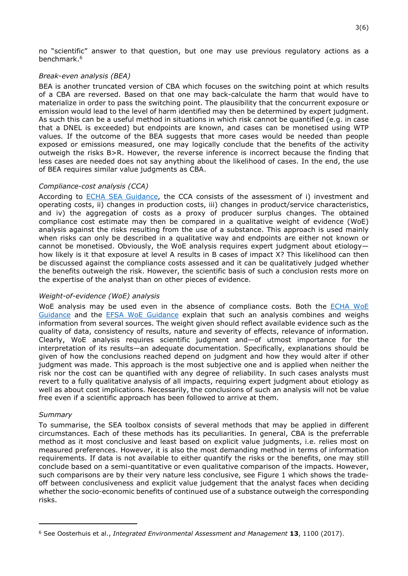no "scientific" answer to that question, but one may use previous regulatory actions as a benchmark.<sup>6</sup>

#### Break-even analysis (BEA)

BEA is another truncated version of CBA which focuses on the switching point at which results of a CBA are reversed. Based on that one may back-calculate the harm that would have to materialize in order to pass the switching point. The plausibility that the concurrent exposure or emission would lead to the level of harm identified may then be determined by expert judgment. As such this can be a useful method in situations in which risk cannot be quantified (e.g. in case that a DNEL is exceeded) but endpoints are known, and cases can be monetised using WTP values. If the outcome of the BEA suggests that more cases would be needed than people exposed or emissions measured, one may logically conclude that the benefits of the activity outweigh the risks B>R. However, the reverse inference is incorrect because the finding that less cases are needed does not say anything about the likelihood of cases. In the end, the use of BEA requires similar value judgments as CBA.

## Compliance-cost analysis (CCA)

According to **ECHA SEA Guidance**, the CCA consists of the assessment of i) investment and operating costs, ii) changes in production costs, iii) changes in product/service characteristics, and iv) the aggregation of costs as a proxy of producer surplus changes. The obtained compliance cost estimate may then be compared in a qualitative weight of evidence (WoE) analysis against the risks resulting from the use of a substance. This approach is used mainly when risks can only be described in a qualitative way and endpoints are either not known or cannot be monetised. Obviously, the WoE analysis requires expert judgment about etiology how likely is it that exposure at level A results in B cases of impact X? This likelihood can then be discussed against the compliance costs assessed and it can be qualitatively judged whether the benefits outweigh the risk. However, the scientific basis of such a conclusion rests more on the expertise of the analyst than on other pieces of evidence.

# Weight-of-evidence (WoE) analysis

WoE analysis may be used even in the absence of compliance costs. Both the ECHA WoE Guidance and the EFSA WoE Guidance explain that such an analysis combines and weighs information from several sources. The weight given should reflect available evidence such as the quality of data, consistency of results, nature and severity of effects, relevance of information. Clearly, WoE analysis requires scientific judgment and—of utmost importance for the interpretation of its results—an adequate documentation. Specifically, explanations should be given of how the conclusions reached depend on judgment and how they would alter if other judgment was made. This approach is the most subjective one and is applied when neither the risk nor the cost can be quantified with any degree of reliability. In such cases analysts must revert to a fully qualitative analysis of all impacts, requiring expert judgment about etiology as well as about cost implications. Necessarily, the conclusions of such an analysis will not be value free even if a scientific approach has been followed to arrive at them.

#### Summary

To summarise, the SEA toolbox consists of several methods that may be applied in different circumstances. Each of these methods has its peculiarities. In general, CBA is the preferrable method as it most conclusive and least based on explicit value judgments, i.e. relies most on measured preferences. However, it is also the most demanding method in terms of information requirements. If data is not available to either quantify the risks or the benefits, one may still conclude based on a semi-quantitative or even qualitative comparison of the impacts. However, such comparisons are by their very nature less conclusive, see Figure 1 which shows the tradeoff between conclusiveness and explicit value judgement that the analyst faces when deciding whether the socio-economic benefits of continued use of a substance outweigh the corresponding risks.

 $6$  See Oosterhuis et al., Integrated Environmental Assessment and Management 13, 1100 (2017).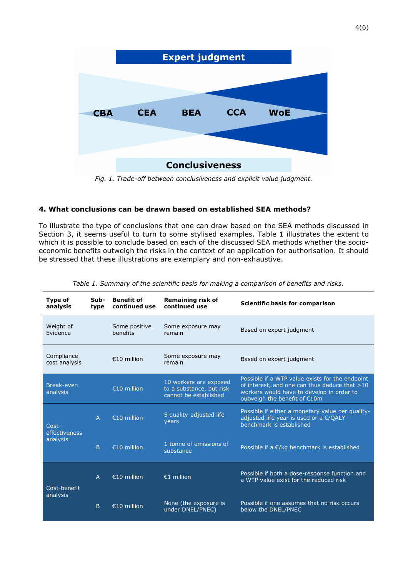

Fig. 1. Trade-off between conclusiveness and explicit value judgment.

# 4. What conclusions can be drawn based on established SEA methods?

To illustrate the type of conclusions that one can draw based on the SEA methods discussed in Section 3, it seems useful to turn to some stylised examples. Table 1 illustrates the extent to which it is possible to conclude based on each of the discussed SEA methods whether the socioeconomic benefits outweigh the risks in the context of an application for authorisation. It should be stressed that these illustrations are exemplary and non-exhaustive.

| Type of<br>analysis                | Sub-<br>type   | <b>Benefit of</b><br>continued use | <b>Remaining risk of</b><br>continued use                                   | Scientific basis for comparison                                                                                                                                               |
|------------------------------------|----------------|------------------------------------|-----------------------------------------------------------------------------|-------------------------------------------------------------------------------------------------------------------------------------------------------------------------------|
| Weight of<br>Evidence              |                | Some positive<br>henefits          | Some exposure may<br>remain                                                 | Based on expert judgment                                                                                                                                                      |
| Compliance<br>cost analysis        |                | €10 million                        | Some exposure may<br>remain                                                 | Based on expert judgment                                                                                                                                                      |
| Break-even<br>analysis             |                | €10 million                        | 10 workers are exposed<br>to a substance, but risk<br>cannot be established | Possible if a WTP value exists for the endpoint<br>of interest, and one can thus deduce that >10<br>workers would have to develop in order to<br>outweigh the benefit of €10m |
| Cost-<br>effectiveness<br>analysis | $\overline{A}$ | €10 million                        | 5 quality-adjusted life<br>years                                            | Possible if either a monetary value per quality-<br>adjusted life year is used or a €/QALY<br>benchmark is established                                                        |
|                                    | B              | €10 million                        | 1 tonne of emissions of<br>substance                                        | Possible if a $E/kg$ benchmark is established                                                                                                                                 |
| Cost-benefit<br>analysis           | $\overline{A}$ | €10 million                        | €1 million                                                                  | Possible if both a dose-response function and<br>a WTP value exist for the reduced risk                                                                                       |
|                                    | B.             | €10 million                        | None (the exposure is<br>under DNEL/PNEC)                                   | Possible if one assumes that no risk occurs<br>below the DNEL/PNEC                                                                                                            |

Table 1. Summary of the scientific basis for making a comparison of benefits and risks.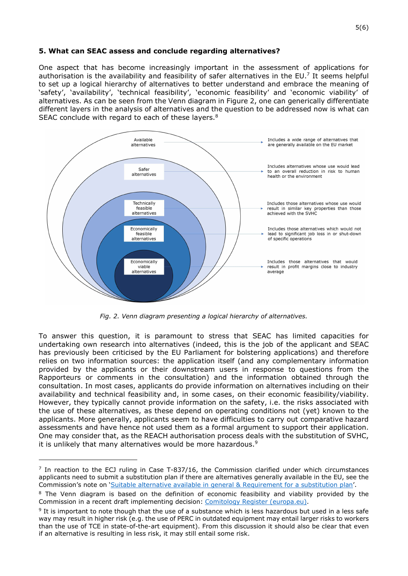## 5. What can SEAC assess and conclude regarding alternatives?

One aspect that has become increasingly important in the assessment of applications for authorisation is the availability and feasibility of safer alternatives in the EU.<sup>7</sup> It seems helpful to set up a logical hierarchy of alternatives to better understand and embrace the meaning of 'safety', 'availability', 'technical feasibility', 'economic feasibility' and 'economic viability' of alternatives. As can be seen from the Venn diagram in Figure 2, one can generically differentiate different layers in the analysis of alternatives and the question to be addressed now is what can SEAC conclude with regard to each of these layers.<sup>8</sup>



Fig. 2. Venn diagram presenting a logical hierarchy of alternatives.

To answer this question, it is paramount to stress that SEAC has limited capacities for undertaking own research into alternatives (indeed, this is the job of the applicant and SEAC has previously been criticised by the EU Parliament for bolstering applications) and therefore relies on two information sources: the application itself (and any complementary information provided by the applicants or their downstream users in response to questions from the Rapporteurs or comments in the consultation) and the information obtained through the consultation. In most cases, applicants do provide information on alternatives including on their availability and technical feasibility and, in some cases, on their economic feasibility/viability. However, they typically cannot provide information on the safety, i.e. the risks associated with the use of these alternatives, as these depend on operating conditions not (yet) known to the applicants. More generally, applicants seem to have difficulties to carry out comparative hazard assessments and have hence not used them as a formal argument to support their application. One may consider that, as the REACH authorisation process deals with the substitution of SVHC, it is unlikely that many alternatives would be more hazardous.<sup>9</sup>

<sup>&</sup>lt;sup>7</sup> In reaction to the ECJ ruling in Case T-837/16, the Commission clarified under which circumstances applicants need to submit a substitution plan if there are alternatives generally available in the EU, see the Commission's note on 'Suitable alternative available in general & Requirement for a substitution plan'.

<sup>&</sup>lt;sup>8</sup> The Venn diagram is based on the definition of economic feasibility and viability provided by the Commission in a recent draft implementing decision: Comitology Register (europa.eu).

<sup>&</sup>lt;sup>9</sup> It is important to note though that the use of a substance which is less hazardous but used in a less safe way may result in higher risk (e.g. the use of PERC in outdated equipment may entail larger risks to workers than the use of TCE in state-of-the-art equipment). From this discussion it should also be clear that even if an alternative is resulting in less risk, it may still entail some risk.